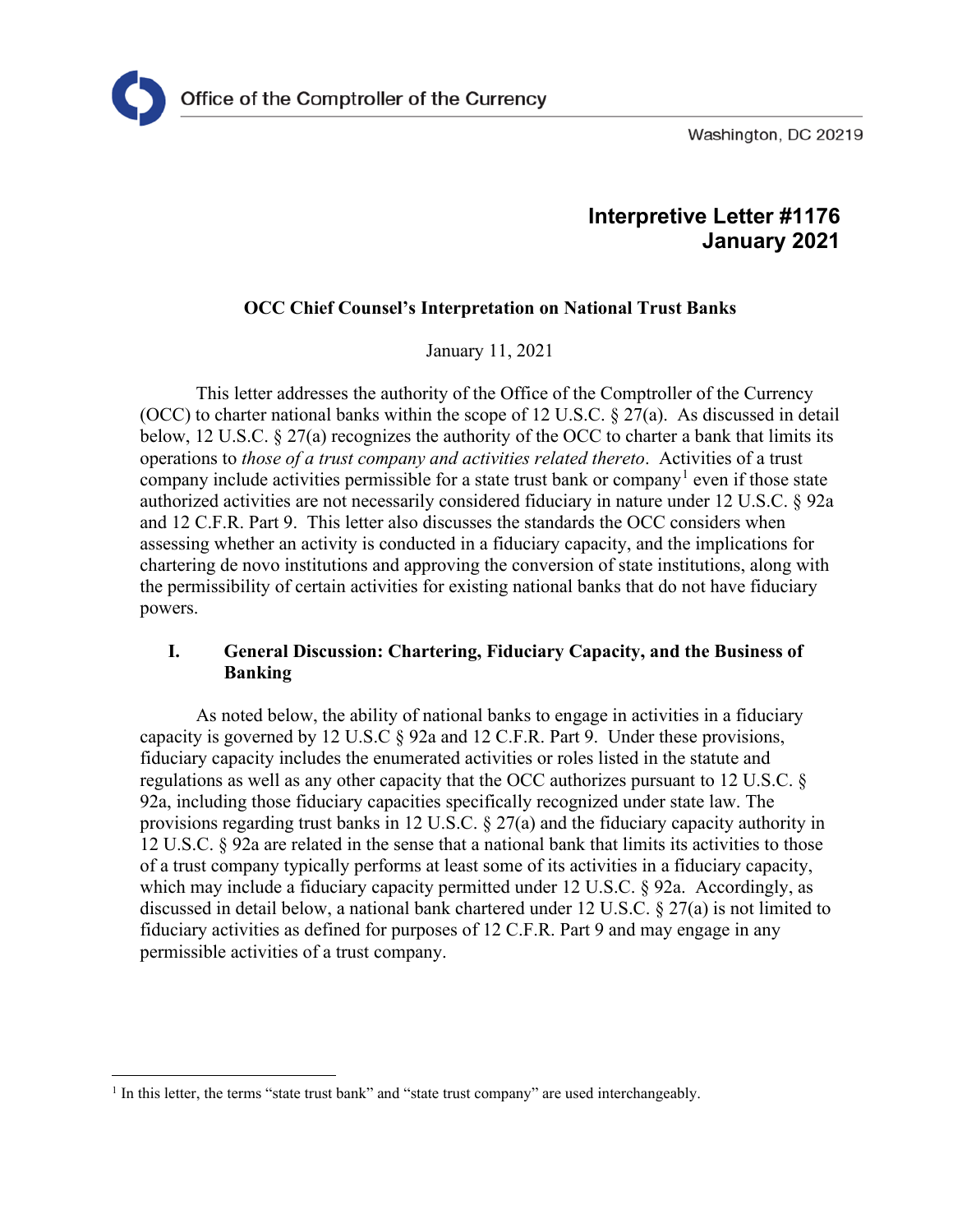

Washington, DC 20219

# **Interpretive Letter #1176 January 2021**

## **OCC Chief Counsel's Interpretation on National Trust Banks**

January 11, 2021

This letter addresses the authority of the Office of the Comptroller of the Currency (OCC) to charter national banks within the scope of 12 U.S.C. § 27(a). As discussed in detail below, 12 U.S.C. § 27(a) recognizes the authority of the OCC to charter a bank that limits its operations to *those of a trust company and activities related thereto*. Activities of a trust company include activities permissible for a state trust bank or company<sup>[1](#page-0-0)</sup> even if those state authorized activities are not necessarily considered fiduciary in nature under 12 U.S.C. § 92a and 12 C.F.R. Part 9. This letter also discusses the standards the OCC considers when assessing whether an activity is conducted in a fiduciary capacity, and the implications for chartering de novo institutions and approving the conversion of state institutions, along with the permissibility of certain activities for existing national banks that do not have fiduciary powers.

## **I. General Discussion: Chartering, Fiduciary Capacity, and the Business of Banking**

As noted below, the ability of national banks to engage in activities in a fiduciary capacity is governed by 12 U.S.C  $\S$  92a and 12 C.F.R. Part 9. Under these provisions, fiduciary capacity includes the enumerated activities or roles listed in the statute and regulations as well as any other capacity that the OCC authorizes pursuant to 12 U.S.C. § 92a, including those fiduciary capacities specifically recognized under state law. The provisions regarding trust banks in 12 U.S.C. § 27(a) and the fiduciary capacity authority in 12 U.S.C. § 92a are related in the sense that a national bank that limits its activities to those of a trust company typically performs at least some of its activities in a fiduciary capacity, which may include a fiduciary capacity permitted under 12 U.S.C. § 92a. Accordingly, as discussed in detail below, a national bank chartered under 12 U.S.C. § 27(a) is not limited to fiduciary activities as defined for purposes of 12 C.F.R. Part 9 and may engage in any permissible activities of a trust company.

<span id="page-0-0"></span><sup>&</sup>lt;sup>1</sup> In this letter, the terms "state trust bank" and "state trust company" are used interchangeably.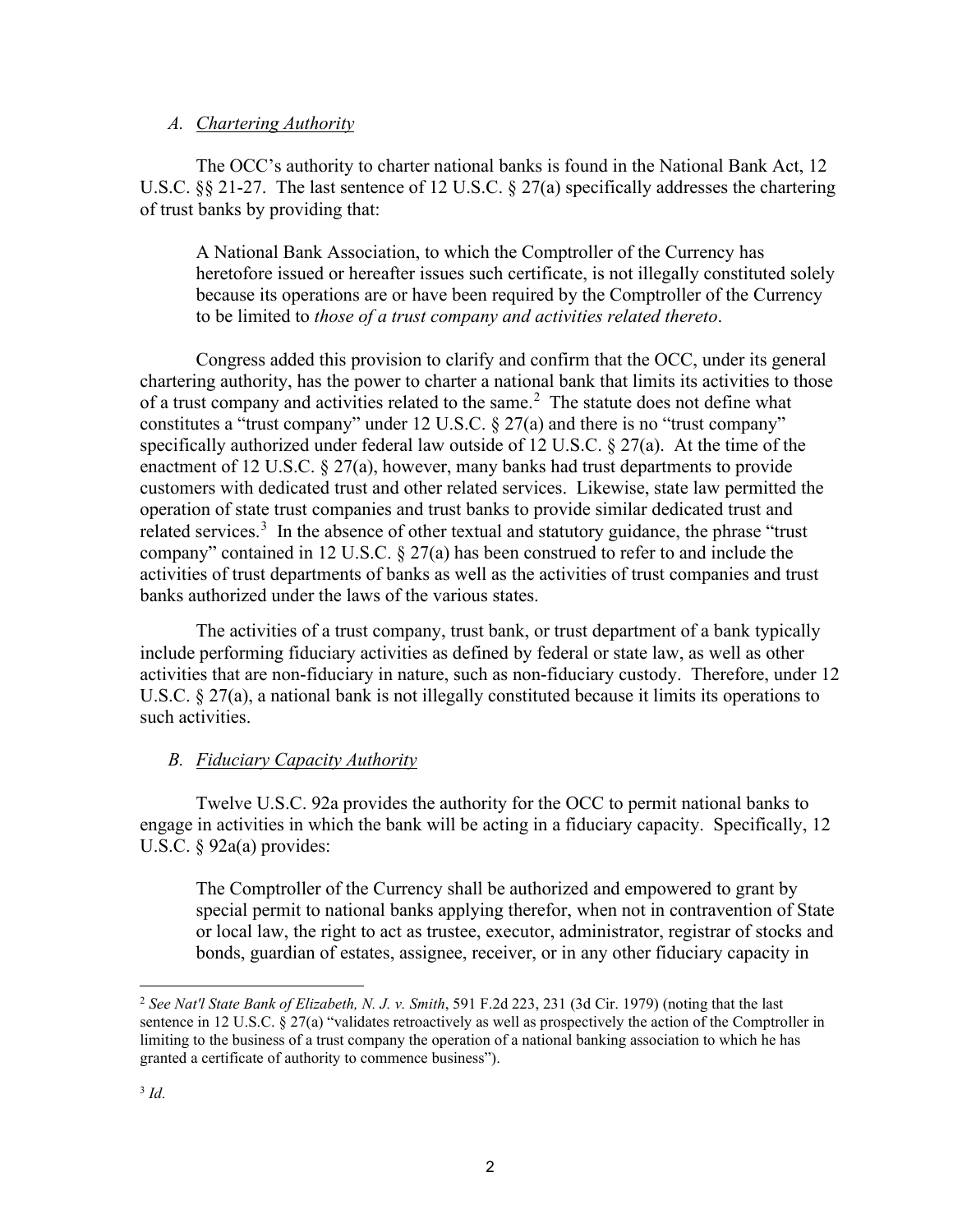#### *A. Chartering Authority*

The OCC's authority to charter national banks is found in the National Bank Act, 12 U.S.C. §§ 21-27. The last sentence of 12 U.S.C. § 27(a) specifically addresses the chartering of trust banks by providing that:

A National Bank Association, to which the Comptroller of the Currency has heretofore issued or hereafter issues such certificate, is not illegally constituted solely because its operations are or have been required by the Comptroller of the Currency to be limited to *those of a trust company and activities related thereto*.

Congress added this provision to clarify and confirm that the OCC, under its general chartering authority, has the power to charter a national bank that limits its activities to those of a trust company and activities related to the same.[2](#page-1-0) The statute does not define what constitutes a "trust company" under 12 U.S.C. § 27(a) and there is no "trust company" specifically authorized under federal law outside of 12 U.S.C. § 27(a). At the time of the enactment of 12 U.S.C. § 27(a), however, many banks had trust departments to provide customers with dedicated trust and other related services. Likewise, state law permitted the operation of state trust companies and trust banks to provide similar dedicated trust and related services.<sup>[3](#page-1-1)</sup> In the absence of other textual and statutory guidance, the phrase "trust company" contained in 12 U.S.C. § 27(a) has been construed to refer to and include the activities of trust departments of banks as well as the activities of trust companies and trust banks authorized under the laws of the various states.

The activities of a trust company, trust bank, or trust department of a bank typically include performing fiduciary activities as defined by federal or state law, as well as other activities that are non-fiduciary in nature, such as non-fiduciary custody. Therefore, under 12 U.S.C. § 27(a), a national bank is not illegally constituted because it limits its operations to such activities.

#### *B. Fiduciary Capacity Authority*

Twelve U.S.C. 92a provides the authority for the OCC to permit national banks to engage in activities in which the bank will be acting in a fiduciary capacity. Specifically, 12 U.S.C. § 92a(a) provides:

The Comptroller of the Currency shall be authorized and empowered to grant by special permit to national banks applying therefor, when not in contravention of State or local law, the right to act as trustee, executor, administrator, registrar of stocks and bonds, guardian of estates, assignee, receiver, or in any other fiduciary capacity in

<span id="page-1-1"></span><span id="page-1-0"></span><sup>2</sup> *See Nat'l State Bank of Elizabeth, N. J. v. Smith*, 591 F.2d 223, 231 (3d Cir. 1979) (noting that the last sentence in 12 U.S.C. § 27(a) "validates retroactively as well as prospectively the action of the Comptroller in limiting to the business of a trust company the operation of a national banking association to which he has granted a certificate of authority to commence business").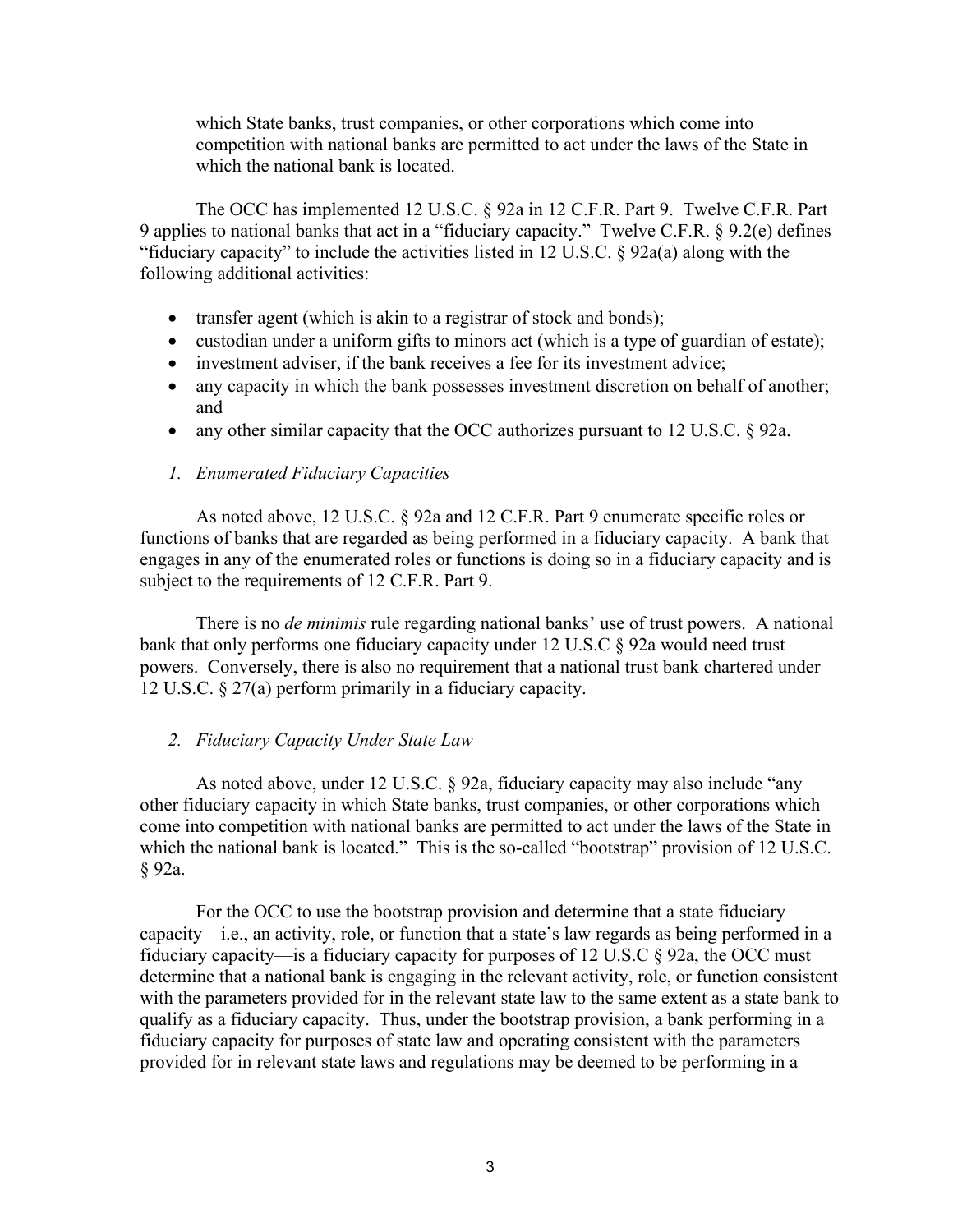which State banks, trust companies, or other corporations which come into competition with national banks are permitted to act under the laws of the State in which the national bank is located.

The OCC has implemented 12 U.S.C. § 92a in 12 C.F.R. Part 9. Twelve C.F.R. Part 9 applies to national banks that act in a "fiduciary capacity." Twelve C.F.R. § 9.2(e) defines "fiduciary capacity" to include the activities listed in 12 U.S.C. § 92a(a) along with the following additional activities:

- transfer agent (which is akin to a registrar of stock and bonds);
- custodian under a uniform gifts to minors act (which is a type of guardian of estate);
- investment adviser, if the bank receives a fee for its investment advice;
- any capacity in which the bank possesses investment discretion on behalf of another; and
- any other similar capacity that the OCC authorizes pursuant to 12 U.S.C.  $\S$  92a.

#### *1. Enumerated Fiduciary Capacities*

As noted above, 12 U.S.C. § 92a and 12 C.F.R. Part 9 enumerate specific roles or functions of banks that are regarded as being performed in a fiduciary capacity. A bank that engages in any of the enumerated roles or functions is doing so in a fiduciary capacity and is subject to the requirements of 12 C.F.R. Part 9.

There is no *de minimis* rule regarding national banks' use of trust powers. A national bank that only performs one fiduciary capacity under 12 U.S.C § 92a would need trust powers. Conversely, there is also no requirement that a national trust bank chartered under 12 U.S.C. § 27(a) perform primarily in a fiduciary capacity.

### *2. Fiduciary Capacity Under State Law*

As noted above, under 12 U.S.C. § 92a, fiduciary capacity may also include "any other fiduciary capacity in which State banks, trust companies, or other corporations which come into competition with national banks are permitted to act under the laws of the State in which the national bank is located." This is the so-called "bootstrap" provision of 12 U.S.C. § 92a.

For the OCC to use the bootstrap provision and determine that a state fiduciary capacity—i.e., an activity, role, or function that a state's law regards as being performed in a fiduciary capacity—is a fiduciary capacity for purposes of 12 U.S.C  $\S$  92a, the OCC must determine that a national bank is engaging in the relevant activity, role, or function consistent with the parameters provided for in the relevant state law to the same extent as a state bank to qualify as a fiduciary capacity. Thus, under the bootstrap provision, a bank performing in a fiduciary capacity for purposes of state law and operating consistent with the parameters provided for in relevant state laws and regulations may be deemed to be performing in a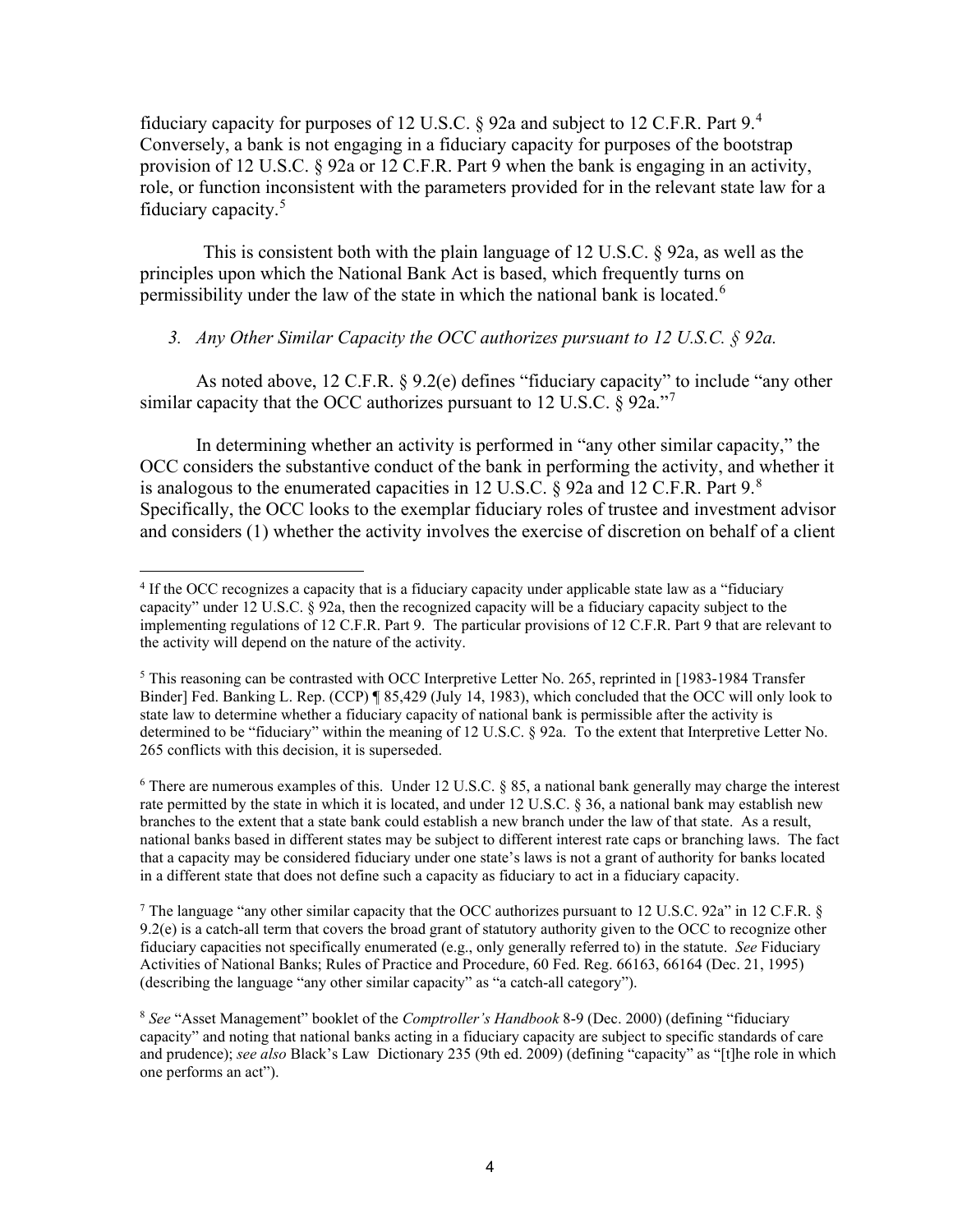fiduciary capacity for purposes of 12 U.S.C. § 92a and subject to 12 C.F.R. Part 9.<sup>[4](#page-3-0)</sup> Conversely, a bank is not engaging in a fiduciary capacity for purposes of the bootstrap provision of 12 U.S.C. § 92a or 12 C.F.R. Part 9 when the bank is engaging in an activity, role, or function inconsistent with the parameters provided for in the relevant state law for a fiduciary capacity. [5](#page-3-1)

This is consistent both with the plain language of 12 U.S.C. § 92a, as well as the principles upon which the National Bank Act is based, which frequently turns on permissibility under the law of the state in which the national bank is located.<sup>[6](#page-3-2)</sup>

## *3. Any Other Similar Capacity the OCC authorizes pursuant to 12 U.S.C. § 92a.*

As noted above, 12 C.F.R. § 9.2(e) defines "fiduciary capacity" to include "any other similar capacity that the OCC authorizes pursuant to 12 U.S.C.  $\S$  92a."<sup>[7](#page-3-3)</sup>

In determining whether an activity is performed in "any other similar capacity," the OCC considers the substantive conduct of the bank in performing the activity, and whether it is analogous to the enumerated capacities in 12 U.S.C.  $\S$  92a and 12 C.F.R. Part 9. $8$ Specifically, the OCC looks to the exemplar fiduciary roles of trustee and investment advisor and considers (1) whether the activity involves the exercise of discretion on behalf of a client

<span id="page-3-2"></span> $6$  There are numerous examples of this. Under 12 U.S.C. § 85, a national bank generally may charge the interest rate permitted by the state in which it is located, and under 12 U.S.C. § 36, a national bank may establish new branches to the extent that a state bank could establish a new branch under the law of that state. As a result, national banks based in different states may be subject to different interest rate caps or branching laws. The fact that a capacity may be considered fiduciary under one state's laws is not a grant of authority for banks located in a different state that does not define such a capacity as fiduciary to act in a fiduciary capacity.

<span id="page-3-3"></span><sup>7</sup> The language "any other similar capacity that the OCC authorizes pursuant to 12 U.S.C. 92a" in 12 C.F.R.  $\&$ 9.2(e) is a catch-all term that covers the broad grant of statutory authority given to the OCC to recognize other fiduciary capacities not specifically enumerated (e.g., only generally referred to) in the statute. *See* Fiduciary Activities of National Banks; Rules of Practice and Procedure, 60 Fed. Reg. 66163, 66164 (Dec. 21, 1995) (describing the language "any other similar capacity" as "a catch-all category").

<span id="page-3-0"></span><sup>4</sup> If the OCC recognizes a capacity that is a fiduciary capacity under applicable state law as a "fiduciary capacity" under 12 U.S.C. § 92a, then the recognized capacity will be a fiduciary capacity subject to the implementing regulations of 12 C.F.R. Part 9. The particular provisions of 12 C.F.R. Part 9 that are relevant to the activity will depend on the nature of the activity.

<span id="page-3-1"></span> $5$  This reasoning can be contrasted with OCC Interpretive Letter No. 265, reprinted in [1983-1984 Transfer Binder] Fed. Banking L. Rep. (CCP) ¶ 85,429 (July 14, 1983), which concluded that the OCC will only look to state law to determine whether a fiduciary capacity of national bank is permissible after the activity is determined to be "fiduciary" within the meaning of 12 U.S.C. § 92a. To the extent that Interpretive Letter No. 265 conflicts with this decision, it is superseded.

<span id="page-3-4"></span><sup>8</sup> *See* "Asset Management" booklet of the *Comptroller's Handbook* 8-9 (Dec. 2000) (defining "fiduciary capacity" and noting that national banks acting in a fiduciary capacity are subject to specific standards of care and prudence); *see also* Black's Law Dictionary 235 (9th ed. 2009) (defining "capacity" as "[t]he role in which one performs an act").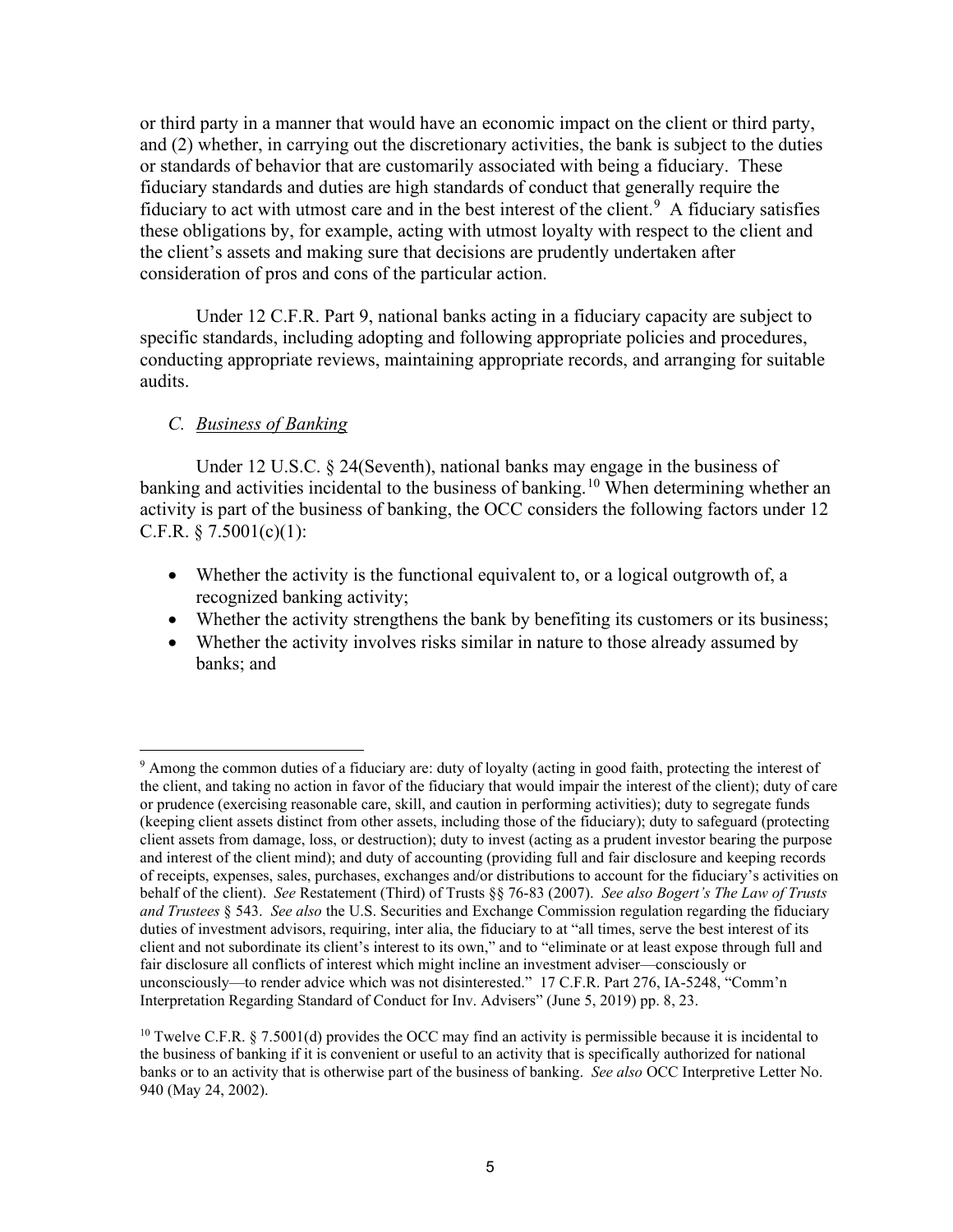or third party in a manner that would have an economic impact on the client or third party, and (2) whether, in carrying out the discretionary activities, the bank is subject to the duties or standards of behavior that are customarily associated with being a fiduciary. These fiduciary standards and duties are high standards of conduct that generally require the fiduciary to act with utmost care and in the best interest of the client. $9$  A fiduciary satisfies these obligations by, for example, acting with utmost loyalty with respect to the client and the client's assets and making sure that decisions are prudently undertaken after consideration of pros and cons of the particular action.

Under 12 C.F.R. Part 9, national banks acting in a fiduciary capacity are subject to specific standards, including adopting and following appropriate policies and procedures, conducting appropriate reviews, maintaining appropriate records, and arranging for suitable audits.

## *C. Business of Banking*

Under 12 U.S.C. § 24(Seventh), national banks may engage in the business of banking and activities incidental to the business of banking.<sup>[10](#page-4-1)</sup> When determining whether an activity is part of the business of banking, the OCC considers the following factors under 12 C.F.R.  $\S$  7.5001(c)(1):

- Whether the activity is the functional equivalent to, or a logical outgrowth of, a recognized banking activity;
- Whether the activity strengthens the bank by benefiting its customers or its business;
- Whether the activity involves risks similar in nature to those already assumed by banks; and

<span id="page-4-0"></span><sup>&</sup>lt;sup>9</sup> Among the common duties of a fiduciary are: duty of loyalty (acting in good faith, protecting the interest of the client, and taking no action in favor of the fiduciary that would impair the interest of the client); duty of care or prudence (exercising reasonable care, skill, and caution in performing activities); duty to segregate funds (keeping client assets distinct from other assets, including those of the fiduciary); duty to safeguard (protecting client assets from damage, loss, or destruction); duty to invest (acting as a prudent investor bearing the purpose and interest of the client mind); and duty of accounting (providing full and fair disclosure and keeping records of receipts, expenses, sales, purchases, exchanges and/or distributions to account for the fiduciary's activities on behalf of the client). *See* Restatement (Third) of Trusts §§ 76-83 (2007). *See also Bogert's The Law of Trusts and Trustees* § 543. *See also* the U.S. Securities and Exchange Commission regulation regarding the fiduciary duties of investment advisors, requiring, inter alia, the fiduciary to at "all times, serve the best interest of its client and not subordinate its client's interest to its own," and to "eliminate or at least expose through full and fair disclosure all conflicts of interest which might incline an investment adviser—consciously or unconsciously—to render advice which was not disinterested." 17 C.F.R. Part 276, IA-5248, "Comm'n Interpretation Regarding Standard of Conduct for Inv. Advisers" (June 5, 2019) pp. 8, 23.

<span id="page-4-1"></span><sup>&</sup>lt;sup>10</sup> Twelve C.F.R. § 7.5001(d) provides the OCC may find an activity is permissible because it is incidental to the business of banking if it is convenient or useful to an activity that is specifically authorized for national banks or to an activity that is otherwise part of the business of banking. *See also* OCC Interpretive Letter No. 940 (May 24, 2002).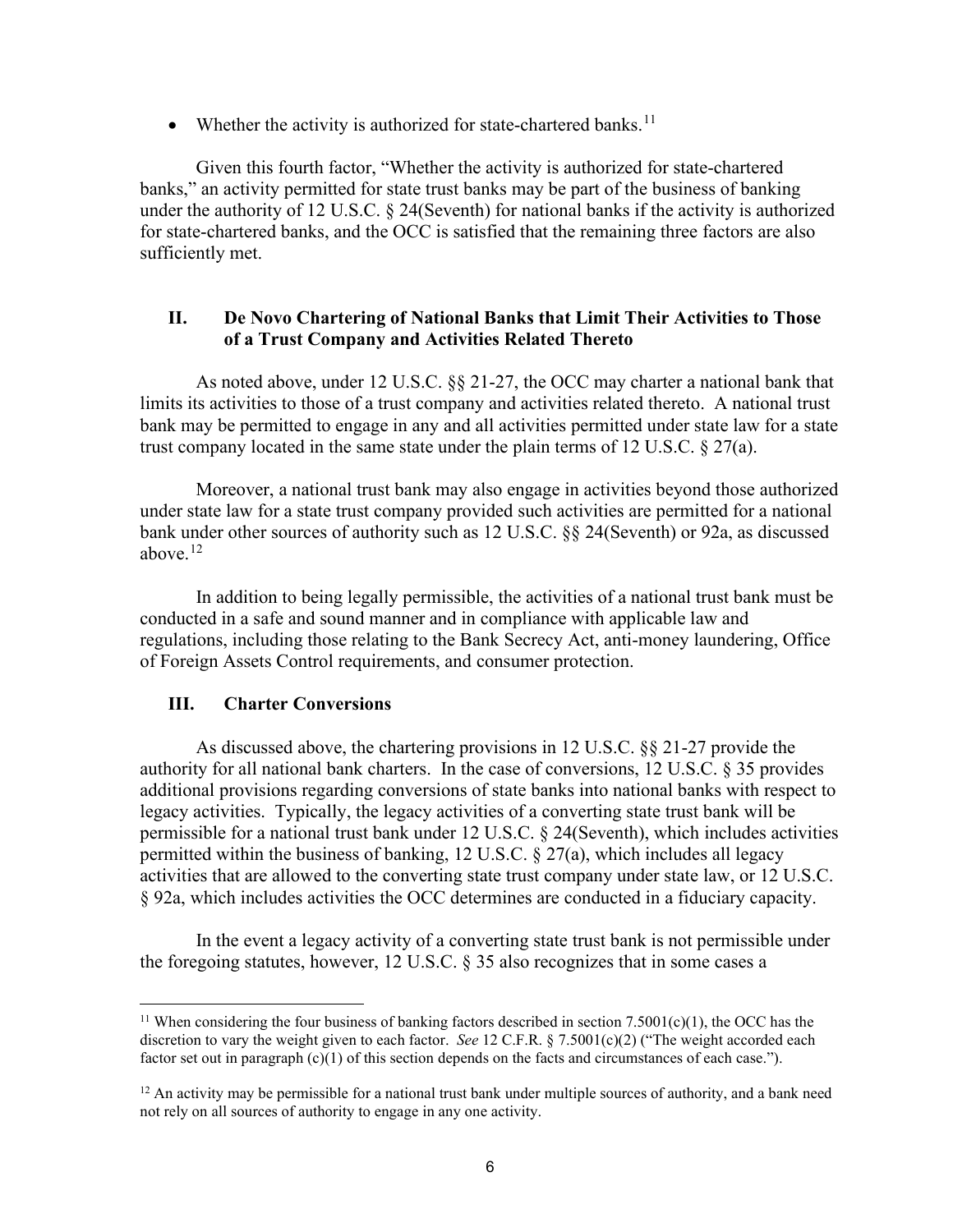• Whether the activity is authorized for state-chartered banks.<sup>[11](#page-5-0)</sup>

Given this fourth factor, "Whether the activity is authorized for state-chartered banks," an activity permitted for state trust banks may be part of the business of banking under the authority of 12 U.S.C. § 24(Seventh) for national banks if the activity is authorized for state-chartered banks, and the OCC is satisfied that the remaining three factors are also sufficiently met.

## **II. De Novo Chartering of National Banks that Limit Their Activities to Those of a Trust Company and Activities Related Thereto**

As noted above, under 12 U.S.C. §§ 21-27, the OCC may charter a national bank that limits its activities to those of a trust company and activities related thereto. A national trust bank may be permitted to engage in any and all activities permitted under state law for a state trust company located in the same state under the plain terms of 12 U.S.C. § 27(a).

Moreover, a national trust bank may also engage in activities beyond those authorized under state law for a state trust company provided such activities are permitted for a national bank under other sources of authority such as 12 U.S.C. §§ 24(Seventh) or 92a, as discussed above. [12](#page-5-1)

In addition to being legally permissible, the activities of a national trust bank must be conducted in a safe and sound manner and in compliance with applicable law and regulations, including those relating to the Bank Secrecy Act, anti-money laundering, Office of Foreign Assets Control requirements, and consumer protection.

### **III. Charter Conversions**

As discussed above, the chartering provisions in 12 U.S.C. §§ 21-27 provide the authority for all national bank charters. In the case of conversions, 12 U.S.C. § 35 provides additional provisions regarding conversions of state banks into national banks with respect to legacy activities. Typically, the legacy activities of a converting state trust bank will be permissible for a national trust bank under 12 U.S.C. § 24(Seventh), which includes activities permitted within the business of banking, 12 U.S.C. § 27(a), which includes all legacy activities that are allowed to the converting state trust company under state law, or 12 U.S.C. § 92a, which includes activities the OCC determines are conducted in a fiduciary capacity.

In the event a legacy activity of a converting state trust bank is not permissible under the foregoing statutes, however, 12 U.S.C. § 35 also recognizes that in some cases a

<span id="page-5-0"></span><sup>&</sup>lt;sup>11</sup> When considering the four business of banking factors described in section 7.5001(c)(1), the OCC has the discretion to vary the weight given to each factor. *See* 12 C.F.R. § 7.5001(c)(2) ("The weight accorded each factor set out in paragraph (c)(1) of this section depends on the facts and circumstances of each case.").

<span id="page-5-1"></span> $12$  An activity may be permissible for a national trust bank under multiple sources of authority, and a bank need not rely on all sources of authority to engage in any one activity.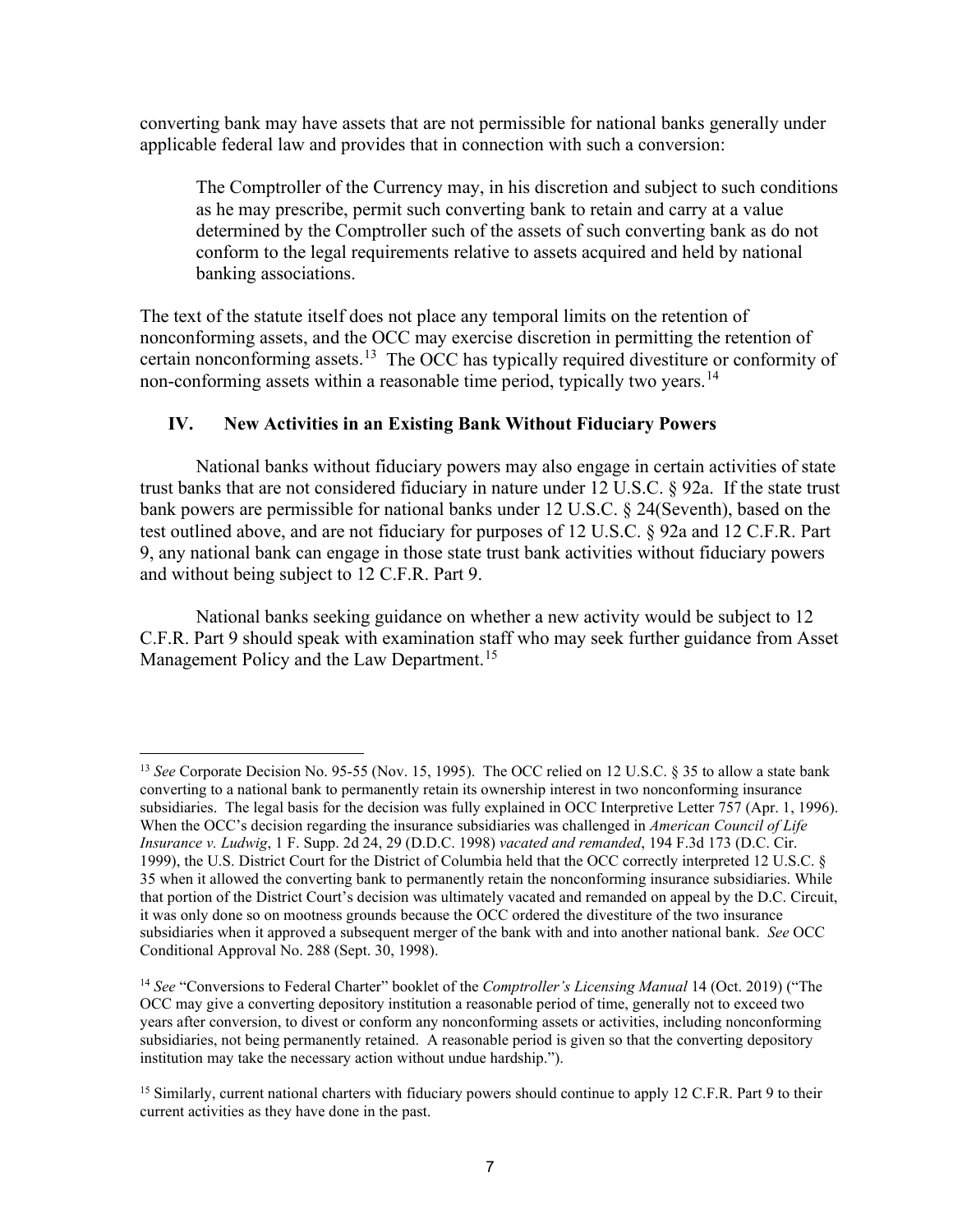converting bank may have assets that are not permissible for national banks generally under applicable federal law and provides that in connection with such a conversion:

The Comptroller of the Currency may, in his discretion and subject to such conditions as he may prescribe, permit such converting bank to retain and carry at a value determined by the Comptroller such of the assets of such converting bank as do not conform to the legal requirements relative to assets acquired and held by national banking associations.

The text of the statute itself does not place any temporal limits on the retention of nonconforming assets, and the OCC may exercise discretion in permitting the retention of certain nonconforming assets.<sup>[13](#page-6-0)</sup> The OCC has typically required divestiture or conformity of non-conforming assets within a reasonable time period, typically two years.<sup>[14](#page-6-1)</sup>

# **IV. New Activities in an Existing Bank Without Fiduciary Powers**

National banks without fiduciary powers may also engage in certain activities of state trust banks that are not considered fiduciary in nature under 12 U.S.C. § 92a. If the state trust bank powers are permissible for national banks under 12 U.S.C. § 24(Seventh), based on the test outlined above, and are not fiduciary for purposes of 12 U.S.C. § 92a and 12 C.F.R. Part 9, any national bank can engage in those state trust bank activities without fiduciary powers and without being subject to 12 C.F.R. Part 9.

National banks seeking guidance on whether a new activity would be subject to 12 C.F.R. Part 9 should speak with examination staff who may seek further guidance from Asset Management Policy and the Law Department.<sup>[15](#page-6-2)</sup>

<span id="page-6-0"></span><sup>&</sup>lt;sup>13</sup> *See* Corporate Decision No. 95-55 (Nov. 15, 1995). The OCC relied on 12 U.S.C. § 35 to allow a state bank converting to a national bank to permanently retain its ownership interest in two nonconforming insurance subsidiaries. The legal basis for the decision was fully explained in OCC Interpretive Letter 757 (Apr. 1, 1996). When the OCC's decision regarding the insurance subsidiaries was challenged in *American Council of Life Insurance v. Ludwig*, 1 F. Supp. 2d 24, 29 (D.D.C. 1998) *vacated and remanded*, 194 F.3d 173 (D.C. Cir. 1999), the U.S. District Court for the District of Columbia held that the OCC correctly interpreted 12 U.S.C. § 35 when it allowed the converting bank to permanently retain the nonconforming insurance subsidiaries. While that portion of the District Court's decision was ultimately vacated and remanded on appeal by the D.C. Circuit, it was only done so on mootness grounds because the OCC ordered the divestiture of the two insurance subsidiaries when it approved a subsequent merger of the bank with and into another national bank. *See* OCC Conditional Approval No. 288 (Sept. 30, 1998).

<span id="page-6-1"></span><sup>14</sup> *See* "Conversions to Federal Charter" booklet of the *Comptroller's Licensing Manual* 14 (Oct. 2019) ("The OCC may give a converting depository institution a reasonable period of time, generally not to exceed two years after conversion, to divest or conform any nonconforming assets or activities, including nonconforming subsidiaries, not being permanently retained. A reasonable period is given so that the converting depository institution may take the necessary action without undue hardship.").

<span id="page-6-2"></span><sup>&</sup>lt;sup>15</sup> Similarly, current national charters with fiduciary powers should continue to apply 12 C.F.R. Part 9 to their current activities as they have done in the past.